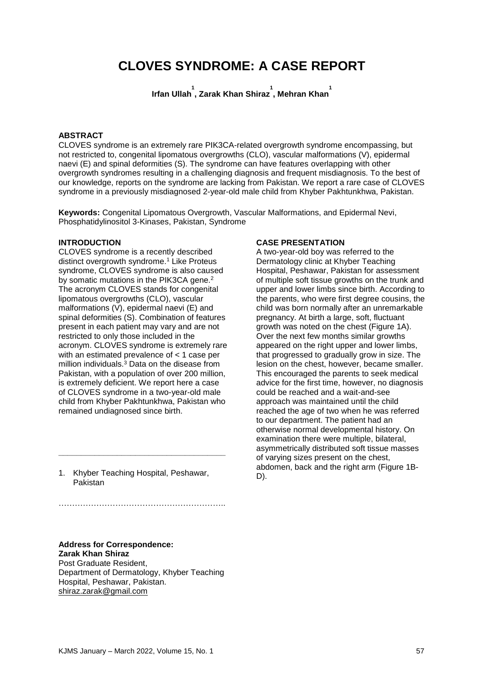# **CLOVES SYNDROME: A CASE REPORT**

**Irfan Ullah 1 , Zarak Khan Shiraz 1 , Mehran Khan 1**

#### **ABSTRACT**

CLOVES syndrome is an extremely rare PIK3CA-related overgrowth syndrome encompassing, but not restricted to, congenital lipomatous overgrowths (CLO), vascular malformations (V), epidermal naevi (E) and spinal deformities (S). The syndrome can have features overlapping with other overgrowth syndromes resulting in a challenging diagnosis and frequent misdiagnosis. To the best of our knowledge, reports on the syndrome are lacking from Pakistan. We report a rare case of CLOVES syndrome in a previously misdiagnosed 2-year-old male child from Khyber Pakhtunkhwa, Pakistan.

**Keywords:** Congenital Lipomatous Overgrowth, Vascular Malformations, and Epidermal Nevi, Phosphatidylinositol 3-Kinases, Pakistan, Syndrome

#### **INTRODUCTION**

CLOVES syndrome is a recently described distinct overgrowth syndrome.<sup>1</sup> Like Proteus syndrome, CLOVES syndrome is also caused by somatic mutations in the PIK3CA gene.<sup>2</sup> The acronym CLOVES stands for congenital lipomatous overgrowths (CLO), vascular malformations (V), epidermal naevi (E) and spinal deformities (S). Combination of features present in each patient may vary and are not restricted to only those included in the acronym. CLOVES syndrome is extremely rare with an estimated prevalence of < 1 case per million individuals.<sup>3</sup> Data on the disease from Pakistan, with a population of over 200 million, is extremely deficient. We report here a case of CLOVES syndrome in a two-year-old male child from Khyber Pakhtunkhwa, Pakistan who remained undiagnosed since birth.

1. Khyber Teaching Hospital, Peshawar, Pakistan

**\_\_\_\_\_\_\_\_\_\_\_\_\_\_\_\_\_\_\_\_\_\_\_\_\_\_\_\_\_\_\_\_\_\_\_\_\_**

# ……………………………………………………..

# **Address for Correspondence: Zarak Khan Shiraz**

Post Graduate Resident, Department of Dermatology, Khyber Teaching Hospital, Peshawar, Pakistan. [shiraz.zarak@gmail.com](mailto:shiraz.zarak@gmail.com)

#### **CASE PRESENTATION**

A two-year-old boy was referred to the Dermatology clinic at Khyber Teaching Hospital, Peshawar, Pakistan for assessment of multiple soft tissue growths on the trunk and upper and lower limbs since birth. According to the parents, who were first degree cousins, the child was born normally after an unremarkable pregnancy. At birth a large, soft, fluctuant growth was noted on the chest (Figure 1A). Over the next few months similar growths appeared on the right upper and lower limbs, that progressed to gradually grow in size. The lesion on the chest, however, became smaller. This encouraged the parents to seek medical advice for the first time, however, no diagnosis could be reached and a wait-and-see approach was maintained until the child reached the age of two when he was referred to our department. The patient had an otherwise normal developmental history. On examination there were multiple, bilateral, asymmetrically distributed soft tissue masses of varying sizes present on the chest, abdomen, back and the right arm (Figure 1B-D).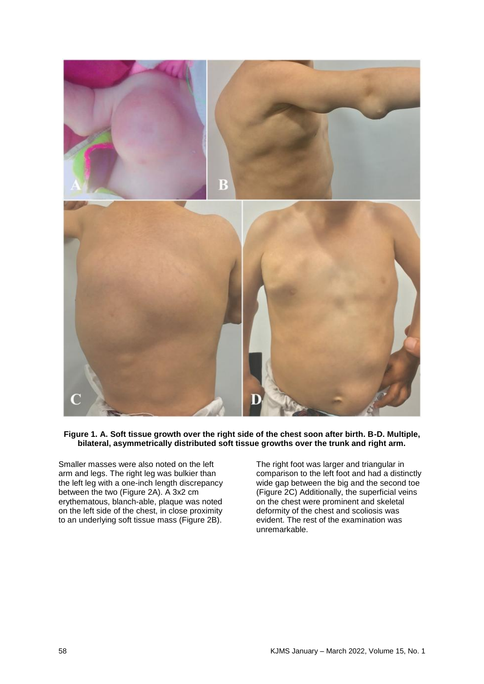

#### **Figure 1. A. Soft tissue growth over the right side of the chest soon after birth. B-D. Multiple, bilateral, asymmetrically distributed soft tissue growths over the trunk and right arm.**

Smaller masses were also noted on the left arm and legs. The right leg was bulkier than the left leg with a one-inch length discrepancy between the two (Figure 2A). A 3x2 cm erythematous, blanch-able, plaque was noted on the left side of the chest, in close proximity to an underlying soft tissue mass (Figure 2B).

The right foot was larger and triangular in comparison to the left foot and had a distinctly wide gap between the big and the second toe (Figure 2C) Additionally, the superficial veins on the chest were prominent and skeletal deformity of the chest and scoliosis was evident. The rest of the examination was unremarkable.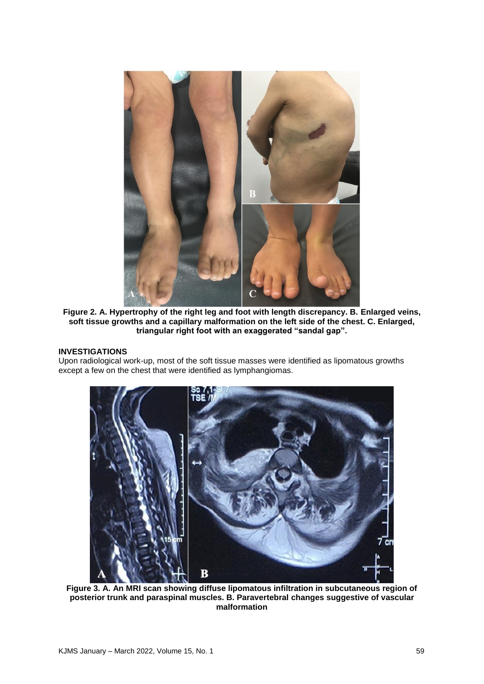

**Figure 2. A. Hypertrophy of the right leg and foot with length discrepancy. B. Enlarged veins, soft tissue growths and a capillary malformation on the left side of the chest. C. Enlarged, triangular right foot with an exaggerated "sandal gap".**

# **INVESTIGATIONS**

Upon radiological work-up, most of the soft tissue masses were identified as lipomatous growths except a few on the chest that were identified as lymphangiomas.



**Figure 3. A. An MRI scan showing diffuse lipomatous infiltration in subcutaneous region of posterior trunk and paraspinal muscles. B. Paravertebral changes suggestive of vascular malformation**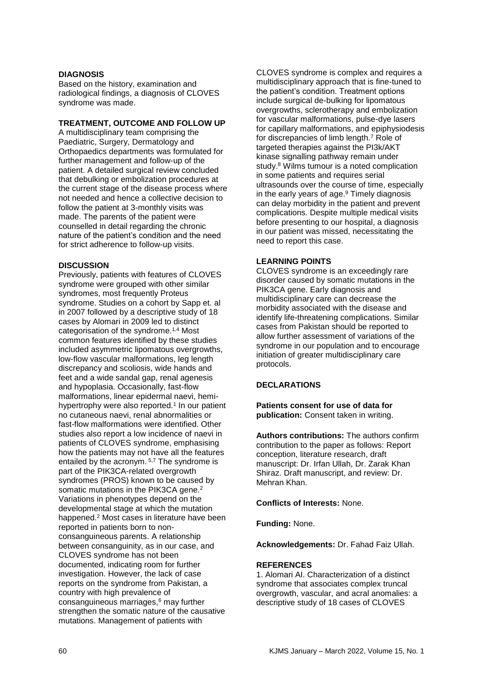#### **DIAGNOSIS**

Based on the history, examination and radiological findings, a diagnosis of CLOVES syndrome was made.

#### **TREATMENT, OUTCOME AND FOLLOW UP**

A multidisciplinary team comprising the Paediatric, Surgery, Dermatology and Orthopaedics departments was formulated for further management and follow-up of the patient. A detailed surgical review concluded that debulking or embolization procedures at the current stage of the disease process where not needed and hence a collective decision to follow the patient at 3-monthly visits was made. The parents of the patient were counselled in detail regarding the chronic nature of the patient's condition and the need for strict adherence to follow-up visits.

# **DISCUSSION**

Previously, patients with features of CLOVES syndrome were grouped with other similar syndromes, most frequently Proteus syndrome. Studies on a cohort by Sapp et. al in 2007 followed by a descriptive study of 18 cases by Alomari in 2009 led to distinct categorisation of the syndrome.1,4 Most common features identified by these studies included asymmetric lipomatous overgrowths, low-flow vascular malformations, leg length discrepancy and scoliosis, wide hands and feet and a wide sandal gap, renal agenesis and hypoplasia. Occasionally, fast-flow malformations, linear epidermal naevi, hemihypertrophy were also reported.<sup>1</sup> In our patient no cutaneous naevi, renal abnormalities or fast-flow malformations were identified. Other studies also report a low incidence of naevi in patients of CLOVES syndrome, emphasising how the patients may not have all the features entailed by the acronym.<sup>5,7</sup> The syndrome is part of the PIK3CA-related overgrowth syndromes (PROS) known to be caused by somatic mutations in the PIK3CA gene.<sup>2</sup> Variations in phenotypes depend on the developmental stage at which the mutation happened.<sup>2</sup> Most cases in literature have been reported in patients born to nonconsanguineous parents. A relationship between consanguinity, as in our case, and CLOVES syndrome has not been documented, indicating room for further investigation. However, the lack of case reports on the syndrome from Pakistan, a country with high prevalence of consanguineous marriages,<sup>6</sup> may further strengthen the somatic nature of the causative mutations. Management of patients with

CLOVES syndrome is complex and requires a multidisciplinary approach that is fine-tuned to the patient's condition. Treatment options include surgical de-bulking for lipomatous overgrowths, sclerotherapy and embolization for vascular malformations, pulse-dye lasers for capillary malformations, and epiphysiodesis for discrepancies of limb length.<sup>7</sup> Role of targeted therapies against the PI3k/AKT kinase signalling pathway remain under study.<sup>8</sup> Wilms tumour is a noted complication in some patients and requires serial ultrasounds over the course of time, especially in the early years of age. <sup>9</sup> Timely diagnosis can delay morbidity in the patient and prevent complications. Despite multiple medical visits before presenting to our hospital, a diagnosis in our patient was missed, necessitating the need to report this case.

# **LEARNING POINTS**

CLOVES syndrome is an exceedingly rare disorder caused by somatic mutations in the PIK3CA gene. Early diagnosis and multidisciplinary care can decrease the morbidity associated with the disease and identify life-threatening complications. Similar cases from Pakistan should be reported to allow further assessment of variations of the syndrome in our population and to encourage initiation of greater multidisciplinary care protocols.

# **DECLARATIONS**

**Patients consent for use of data for publication:** Consent taken in writing.

**Authors contributions:** The authors confirm contribution to the paper as follows: Report conception, literature research, draft manuscript: Dr. Irfan Ullah, Dr. Zarak Khan Shiraz. Draft manuscript, and review: Dr. Mehran Khan.

# **Conflicts of Interests:** None.

**Funding:** None.

**Acknowledgements:** Dr. Fahad Faiz Ullah.

# **REFERENCES**

1. Alomari AI. Characterization of a distinct syndrome that associates complex truncal overgrowth, vascular, and acral anomalies: a descriptive study of 18 cases of CLOVES